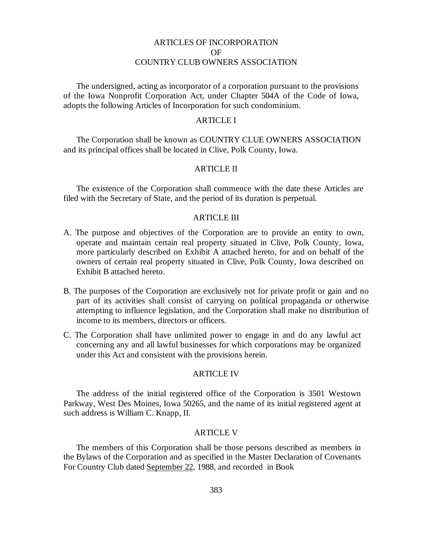# ARTICLES OF INCORPORATION OF COUNTRY CLUB OWNERS ASSOCIATION

The undersigned, acting as incorporator of a corporation pursuant to the provisions of the Iowa Nonprofit Corporation Act, under Chapter 504A of the Code of Iowa, adopts the following Articles of Incorporation for such condominium.

# ARTICLE I

The Corporation shall be known as COUNTRY CLUE OWNERS ASSOCIATION and its principal offices shall be located in Clive, Polk County, Iowa.

## ARTICLE II

The existence of the Corporation shall commence with the date these Articles are filed with the Secretary of State, and the period of its duration is perpetual.

### ARTICLE III

- A. The purpose and objectives of the Corporation are to provide an entity to own, operate and maintain certain real property situated in Clive, Polk County, Iowa, more particularly described on Exhibit A attached hereto, for and on behalf of the owners of certain real property situated in Clive, Polk County, Iowa described on Exhibit B attached hereto.
- B. The purposes of the Corporation are exclusively not for private profit or gain and no part of its activities shall consist of carrying on political propaganda or otherwise attempting to influence legislation, and the Corporation shall make no distribution of income to its members, directors or officers.
- C. The Corporation shall have unlimited power to engage in and do any lawful act concerning any and all lawful businesses for which corporations may be organized under this Act and consistent with the provisions herein.

## ARTICLE IV

The address of the initial registered office of the Corporation is 3501 Westown Parkway, West Des Moines, Iowa 50265, and the name of its initial registered agent at such address is William C. Knapp, II.

## ARTICLE V

The members of this Corporation shall be those persons described as members in the Bylaws of the Corporation and as specified in the Master Declaration of Covenants For Country Club dated September 22, 1988, and recorded in Book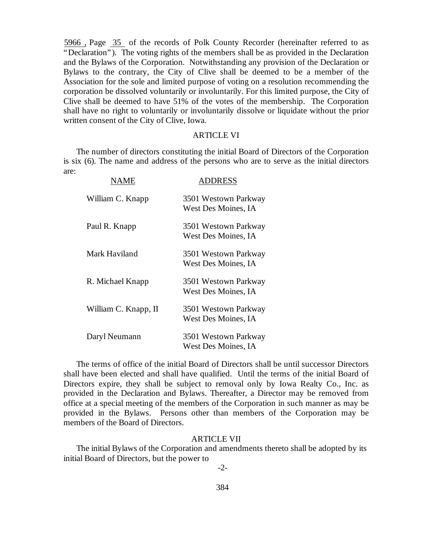5966 , Page 35 of the records of Polk County Recorder (hereinafter referred to as "Declaration"). The voting rights of the members shall be as provided in the Declaration and the Bylaws of the Corporation. Notwithstanding any provision of the Declaration or Bylaws to the contrary, the City of Clive shall be deemed to be a member of the Association for the sole and limited purpose of voting on a resolution recommending the corporation be dissolved voluntarily or involuntarily. For this limited purpose, the City of Clive shall be deemed to have 51% of the votes of the membership. The Corporation shall have no right to voluntarily or involuntarily dissolve or liquidate without the prior written consent of the City of Clive, Iowa.

## ARTICLE VI

The number of directors constituting the initial Board of Directors of the Corporation is six (6). The name and address of the persons who are to serve as the initial directors are:

| NAME                 | DDRESS                                      |
|----------------------|---------------------------------------------|
| William C. Knapp     | 3501 Westown Parkway<br>West Des Moines, IA |
| Paul R. Knapp        | 3501 Westown Parkway<br>West Des Moines, IA |
| Mark Haviland        | 3501 Westown Parkway<br>West Des Moines, IA |
| R. Michael Knapp     | 3501 Westown Parkway<br>West Des Moines, IA |
| William C. Knapp, II | 3501 Westown Parkway<br>West Des Moines, IA |
| Daryl Neumann        | 3501 Westown Parkway<br>West Des Moines, IA |

The terms of office of the initial Board of Directors shall be until successor Directors shall have been elected and shall have qualified. Until the terms of the initial Board of Directors expire, they shall be subject to removal only by Iowa Realty Co., Inc. as provided in the Declaration and Bylaws. Thereafter, a Director may be removed from office at a special meeting of the members of the Corporation in such manner as may be provided in the Bylaws. Persons other than members of the Corporation may be members of the Board of Directors.

## ARTICLE VII

The initial Bylaws of the Corporation and amendments thereto shall be adopted by its initial Board of Directors, but the power to

-2-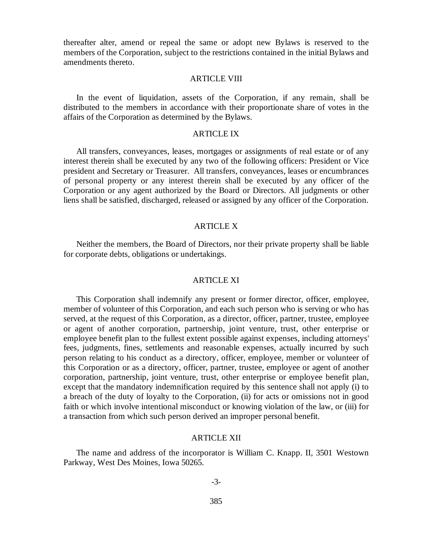thereafter alter, amend or repeal the same or adopt new Bylaws is reserved to the members of the Corporation, subject to the restrictions contained in the initial Bylaws and amendments thereto.

#### ARTICLE VIII

In the event of liquidation, assets of the Corporation, if any remain, shall be distributed to the members in accordance with their proportionate share of votes in the affairs of the Corporation as determined by the Bylaws.

## ARTICLE IX

All transfers, conveyances, leases, mortgages or assignments of real estate or of any interest therein shall be executed by any two of the following officers: President or Vice president and Secretary or Treasurer. All transfers, conveyances, leases or encumbrances of personal property or any interest therein shall be executed by any officer of the Corporation or any agent authorized by the Board or Directors. All judgments or other liens shall be satisfied, discharged, released or assigned by any officer of the Corporation.

# ARTICLE X

Neither the members, the Board of Directors, nor their private property shall be liable for corporate debts, obligations or undertakings.

#### ARTICLE XI

This Corporation shall indemnify any present or former director, officer, employee, member of volunteer of this Corporation, and each such person who is serving or who has served, at the request of this Corporation, as a director, officer, partner, trustee, employee or agent of another corporation, partnership, joint venture, trust, other enterprise or employee benefit plan to the fullest extent possible against expenses, including attorneys' fees, judgments, fines, settlements and reasonable expenses, actually incurred by such person relating to his conduct as a directory, officer, employee, member or volunteer of this Corporation or as a directory, officer, partner, trustee, employee or agent of another corporation, partnership, joint venture, trust, other enterprise or employee benefit plan, except that the mandatory indemnification required by this sentence shall not apply (i) to a breach of the duty of loyalty to the Corporation, (ii) for acts or omissions not in good faith or which involve intentional misconduct or knowing violation of the law, or (iii) for a transaction from which such person derived an improper personal benefit.

## ARTICLE XII

The name and address of the incorporator is William C. Knapp. II, 3501 Westown Parkway, West Des Moines, Iowa 50265.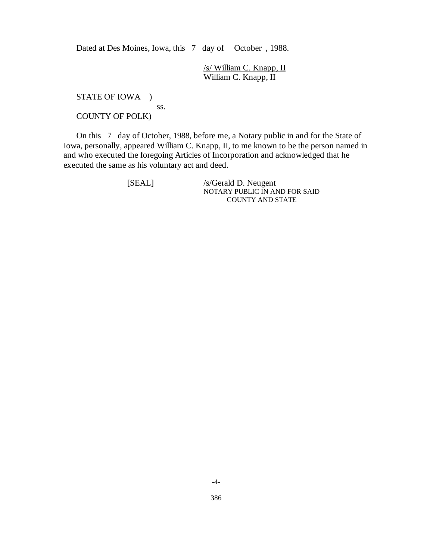Dated at Des Moines, Iowa, this  $\overline{7}$  day of October, 1988.

/s/ William C. Knapp, II William C. Knapp, II

STATE OF IOWA ) ss. COUNTY OF POLK)

On this  $\overline{7}$  day of October, 1988, before me, a Notary public in and for the State of Iowa, personally, appeared William C. Knapp, II, to me known to be the person named in and who executed the foregoing Articles of Incorporation and acknowledged that he executed the same as his voluntary act and deed.

[SEAL] /s/Gerald D. Neugent NOTARY PUBLIC IN AND FOR SAID COUNTY AND STATE

-4-